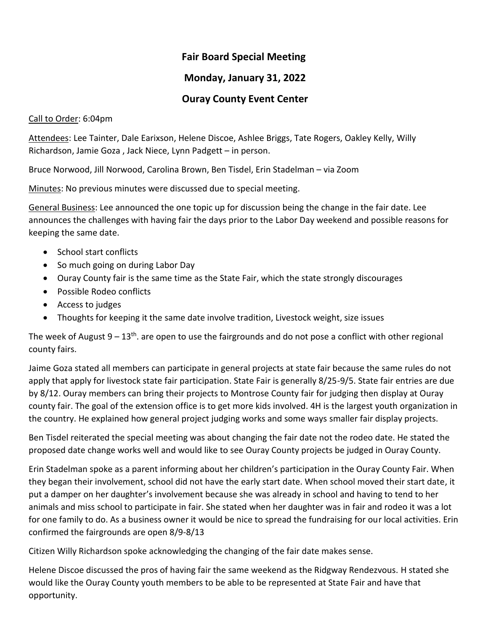## **Fair Board Special Meeting**

## **Monday, January 31, 2022**

## **Ouray County Event Center**

## Call to Order: 6:04pm

Attendees: Lee Tainter, Dale Earixson, Helene Discoe, Ashlee Briggs, Tate Rogers, Oakley Kelly, Willy Richardson, Jamie Goza , Jack Niece, Lynn Padgett – in person.

Bruce Norwood, Jill Norwood, Carolina Brown, Ben Tisdel, Erin Stadelman – via Zoom

Minutes: No previous minutes were discussed due to special meeting.

General Business: Lee announced the one topic up for discussion being the change in the fair date. Lee announces the challenges with having fair the days prior to the Labor Day weekend and possible reasons for keeping the same date.

- School start conflicts
- So much going on during Labor Day
- Ouray County fair is the same time as the State Fair, which the state strongly discourages
- Possible Rodeo conflicts
- Access to judges
- Thoughts for keeping it the same date involve tradition, Livestock weight, size issues

The week of August 9 – 13<sup>th</sup>. are open to use the fairgrounds and do not pose a conflict with other regional county fairs.

Jaime Goza stated all members can participate in general projects at state fair because the same rules do not apply that apply for livestock state fair participation. State Fair is generally 8/25-9/5. State fair entries are due by 8/12. Ouray members can bring their projects to Montrose County fair for judging then display at Ouray county fair. The goal of the extension office is to get more kids involved. 4H is the largest youth organization in the country. He explained how general project judging works and some ways smaller fair display projects.

Ben Tisdel reiterated the special meeting was about changing the fair date not the rodeo date. He stated the proposed date change works well and would like to see Ouray County projects be judged in Ouray County.

Erin Stadelman spoke as a parent informing about her children's participation in the Ouray County Fair. When they began their involvement, school did not have the early start date. When school moved their start date, it put a damper on her daughter's involvement because she was already in school and having to tend to her animals and miss school to participate in fair. She stated when her daughter was in fair and rodeo it was a lot for one family to do. As a business owner it would be nice to spread the fundraising for our local activities. Erin confirmed the fairgrounds are open 8/9-8/13

Citizen Willy Richardson spoke acknowledging the changing of the fair date makes sense.

Helene Discoe discussed the pros of having fair the same weekend as the Ridgway Rendezvous. H stated she would like the Ouray County youth members to be able to be represented at State Fair and have that opportunity.